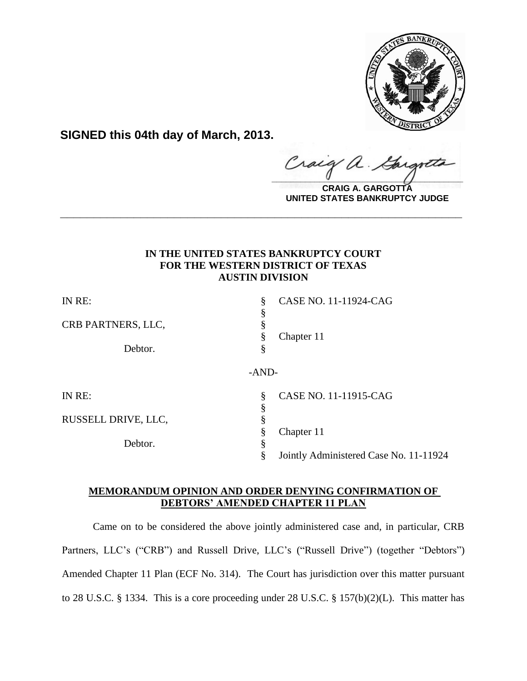

**SIGNED this 04th day of March, 2013.**

Craig  $\alpha$ .  $\frac{1}{2}$ 

**CRAIG A. GARGOTTA UNITED STATES BANKRUPTCY JUDGE**

# **IN THE UNITED STATES BANKRUPTCY COURT FOR THE WESTERN DISTRICT OF TEXAS AUSTIN DIVISION**

**\_\_\_\_\_\_\_\_\_\_\_\_\_\_\_\_\_\_\_\_\_\_\_\_\_\_\_\_\_\_\_\_\_\_\_\_\_\_\_\_\_\_\_\_\_\_\_\_\_\_\_\_\_\_\_\_\_\_\_\_**

| IN RE:              | CASE NO. 11-11924-CAG<br>§             |
|---------------------|----------------------------------------|
| CRB PARTNERS, LLC,  | Chapter 11<br>§                        |
| Debtor.             | §                                      |
|                     | $-AND-$                                |
| IN RE:              | CASE NO. 11-11915-CAG<br>§<br>§        |
| RUSSELL DRIVE, LLC, | §                                      |
|                     | Chapter 11<br>8                        |
| Debtor.             | \$                                     |
|                     | Jointly Administered Case No. 11-11924 |

# **MEMORANDUM OPINION AND ORDER DENYING CONFIRMATION OF DEBTORS' AMENDED CHAPTER 11 PLAN**

Came on to be considered the above jointly administered case and, in particular, CRB Partners, LLC's ("CRB") and Russell Drive, LLC's ("Russell Drive") (together "Debtors") Amended Chapter 11 Plan (ECF No. 314). The Court has jurisdiction over this matter pursuant to 28 U.S.C. § 1334. This is a core proceeding under 28 U.S.C. § 157(b)(2)(L). This matter has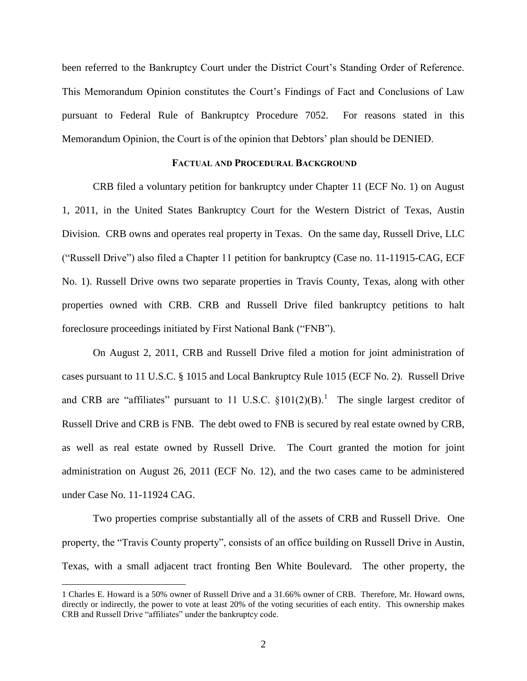been referred to the Bankruptcy Court under the District Court's Standing Order of Reference. This Memorandum Opinion constitutes the Court's Findings of Fact and Conclusions of Law pursuant to Federal Rule of Bankruptcy Procedure 7052. For reasons stated in this Memorandum Opinion, the Court is of the opinion that Debtors' plan should be DENIED.

### **FACTUAL AND PROCEDURAL BACKGROUND**

CRB filed a voluntary petition for bankruptcy under Chapter 11 (ECF No. 1) on August 1, 2011, in the United States Bankruptcy Court for the Western District of Texas, Austin Division. CRB owns and operates real property in Texas. On the same day, Russell Drive, LLC ("Russell Drive") also filed a Chapter 11 petition for bankruptcy (Case no. 11-11915-CAG, ECF No. 1). Russell Drive owns two separate properties in Travis County, Texas, along with other properties owned with CRB. CRB and Russell Drive filed bankruptcy petitions to halt foreclosure proceedings initiated by First National Bank ("FNB").

On August 2, 2011, CRB and Russell Drive filed a motion for joint administration of cases pursuant to 11 U.S.C. § 1015 and Local Bankruptcy Rule 1015 (ECF No. 2). Russell Drive and CRB are "affiliates" pursuant to 11 U.S.C.  $\S 101(2)(B)$ .<sup>1</sup> The single largest creditor of Russell Drive and CRB is FNB. The debt owed to FNB is secured by real estate owned by CRB, as well as real estate owned by Russell Drive. The Court granted the motion for joint administration on August 26, 2011 (ECF No. 12), and the two cases came to be administered under Case No. 11-11924 CAG.

Two properties comprise substantially all of the assets of CRB and Russell Drive. One property, the "Travis County property", consists of an office building on Russell Drive in Austin, Texas, with a small adjacent tract fronting Ben White Boulevard. The other property, the

<sup>1</sup> Charles E. Howard is a 50% owner of Russell Drive and a 31.66% owner of CRB. Therefore, Mr. Howard owns, directly or indirectly, the power to vote at least 20% of the voting securities of each entity. This ownership makes CRB and Russell Drive "affiliates" under the bankruptcy code.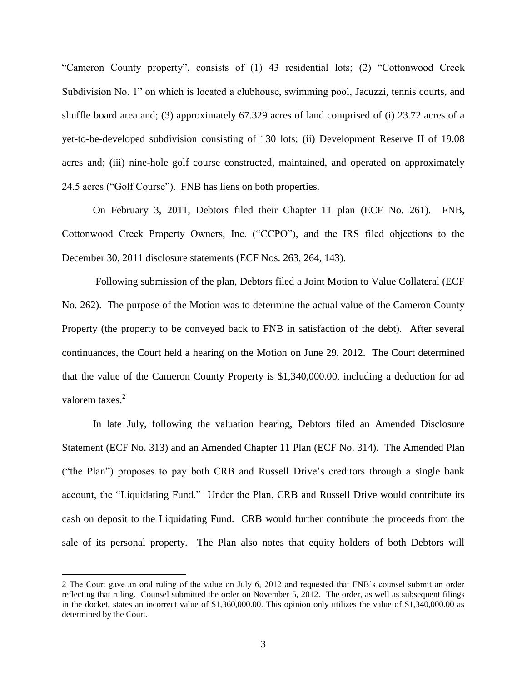"Cameron County property", consists of (1) 43 residential lots; (2) "Cottonwood Creek Subdivision No. 1" on which is located a clubhouse, swimming pool, Jacuzzi, tennis courts, and shuffle board area and; (3) approximately 67.329 acres of land comprised of (i) 23.72 acres of a yet-to-be-developed subdivision consisting of 130 lots; (ii) Development Reserve II of 19.08 acres and; (iii) nine-hole golf course constructed, maintained, and operated on approximately 24.5 acres ("Golf Course"). FNB has liens on both properties.

On February 3, 2011, Debtors filed their Chapter 11 plan (ECF No. 261). FNB, Cottonwood Creek Property Owners, Inc. ("CCPO"), and the IRS filed objections to the December 30, 2011 disclosure statements (ECF Nos. 263, 264, 143).

Following submission of the plan, Debtors filed a Joint Motion to Value Collateral (ECF No. 262). The purpose of the Motion was to determine the actual value of the Cameron County Property (the property to be conveyed back to FNB in satisfaction of the debt). After several continuances, the Court held a hearing on the Motion on June 29, 2012. The Court determined that the value of the Cameron County Property is \$1,340,000.00, including a deduction for ad valorem taxes.<sup>2</sup>

In late July, following the valuation hearing, Debtors filed an Amended Disclosure Statement (ECF No. 313) and an Amended Chapter 11 Plan (ECF No. 314). The Amended Plan ("the Plan") proposes to pay both CRB and Russell Drive's creditors through a single bank account, the "Liquidating Fund." Under the Plan, CRB and Russell Drive would contribute its cash on deposit to the Liquidating Fund. CRB would further contribute the proceeds from the sale of its personal property. The Plan also notes that equity holders of both Debtors will

<sup>2</sup> The Court gave an oral ruling of the value on July 6, 2012 and requested that FNB's counsel submit an order reflecting that ruling. Counsel submitted the order on November 5, 2012. The order, as well as subsequent filings in the docket, states an incorrect value of \$1,360,000.00. This opinion only utilizes the value of \$1,340,000.00 as determined by the Court.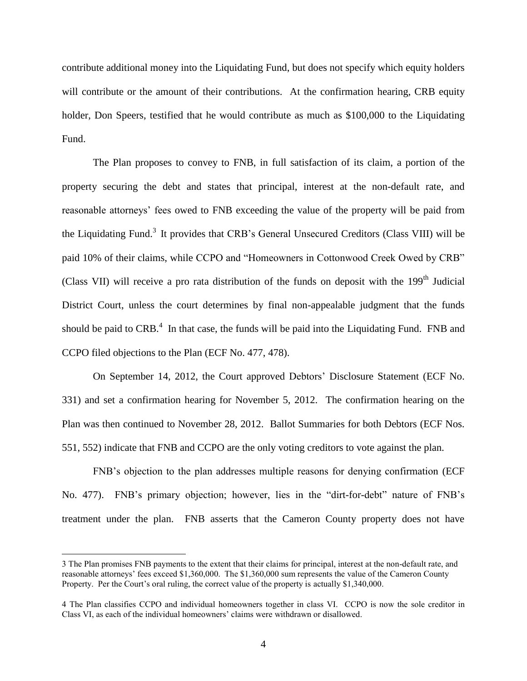contribute additional money into the Liquidating Fund, but does not specify which equity holders will contribute or the amount of their contributions. At the confirmation hearing, CRB equity holder, Don Speers, testified that he would contribute as much as \$100,000 to the Liquidating Fund.

The Plan proposes to convey to FNB, in full satisfaction of its claim, a portion of the property securing the debt and states that principal, interest at the non-default rate, and reasonable attorneys' fees owed to FNB exceeding the value of the property will be paid from the Liquidating Fund.<sup>3</sup> It provides that CRB's General Unsecured Creditors (Class VIII) will be paid 10% of their claims, while CCPO and "Homeowners in Cottonwood Creek Owed by CRB" (Class VII) will receive a pro rata distribution of the funds on deposit with the 199<sup>th</sup> Judicial District Court, unless the court determines by final non-appealable judgment that the funds should be paid to  $CRB<sup>4</sup>$ . In that case, the funds will be paid into the Liquidating Fund. FNB and CCPO filed objections to the Plan (ECF No. 477, 478).

On September 14, 2012, the Court approved Debtors' Disclosure Statement (ECF No. 331) and set a confirmation hearing for November 5, 2012. The confirmation hearing on the Plan was then continued to November 28, 2012. Ballot Summaries for both Debtors (ECF Nos. 551, 552) indicate that FNB and CCPO are the only voting creditors to vote against the plan.

FNB's objection to the plan addresses multiple reasons for denying confirmation (ECF No. 477). FNB's primary objection; however, lies in the "dirt-for-debt" nature of FNB's treatment under the plan. FNB asserts that the Cameron County property does not have

<sup>3</sup> The Plan promises FNB payments to the extent that their claims for principal, interest at the non-default rate, and reasonable attorneys' fees exceed \$1,360,000. The \$1,360,000 sum represents the value of the Cameron County Property. Per the Court's oral ruling, the correct value of the property is actually \$1,340,000.

<sup>4</sup> The Plan classifies CCPO and individual homeowners together in class VI. CCPO is now the sole creditor in Class VI, as each of the individual homeowners' claims were withdrawn or disallowed.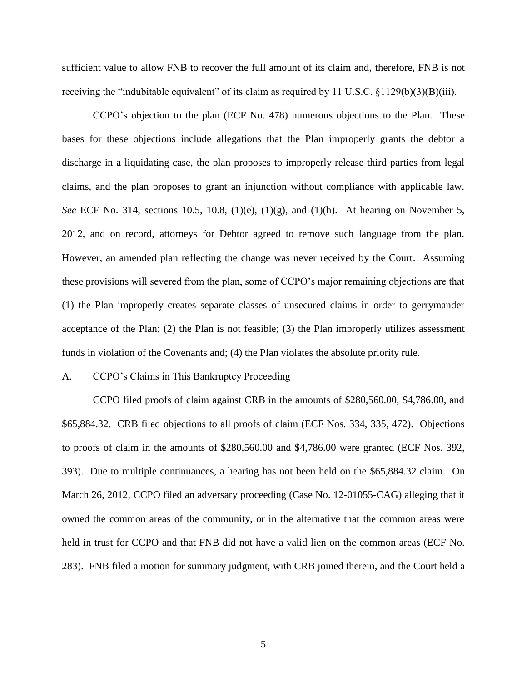sufficient value to allow FNB to recover the full amount of its claim and, therefore, FNB is not receiving the "indubitable equivalent" of its claim as required by 11 U.S.C. §1129(b)(3)(B)(iii).

CCPO's objection to the plan (ECF No. 478) numerous objections to the Plan. These bases for these objections include allegations that the Plan improperly grants the debtor a discharge in a liquidating case, the plan proposes to improperly release third parties from legal claims, and the plan proposes to grant an injunction without compliance with applicable law. *See* ECF No. 314, sections 10.5, 10.8, (1)(e), (1)(g), and (1)(h). At hearing on November 5, 2012, and on record, attorneys for Debtor agreed to remove such language from the plan. However, an amended plan reflecting the change was never received by the Court. Assuming these provisions will severed from the plan, some of CCPO's major remaining objections are that (1) the Plan improperly creates separate classes of unsecured claims in order to gerrymander acceptance of the Plan; (2) the Plan is not feasible; (3) the Plan improperly utilizes assessment funds in violation of the Covenants and; (4) the Plan violates the absolute priority rule.

#### A. CCPO's Claims in This Bankruptcy Proceeding

CCPO filed proofs of claim against CRB in the amounts of \$280,560.00, \$4,786.00, and \$65,884.32. CRB filed objections to all proofs of claim (ECF Nos. 334, 335, 472). Objections to proofs of claim in the amounts of \$280,560.00 and \$4,786.00 were granted (ECF Nos. 392, 393). Due to multiple continuances, a hearing has not been held on the \$65,884.32 claim. On March 26, 2012, CCPO filed an adversary proceeding (Case No. 12-01055-CAG) alleging that it owned the common areas of the community, or in the alternative that the common areas were held in trust for CCPO and that FNB did not have a valid lien on the common areas (ECF No. 283). FNB filed a motion for summary judgment, with CRB joined therein, and the Court held a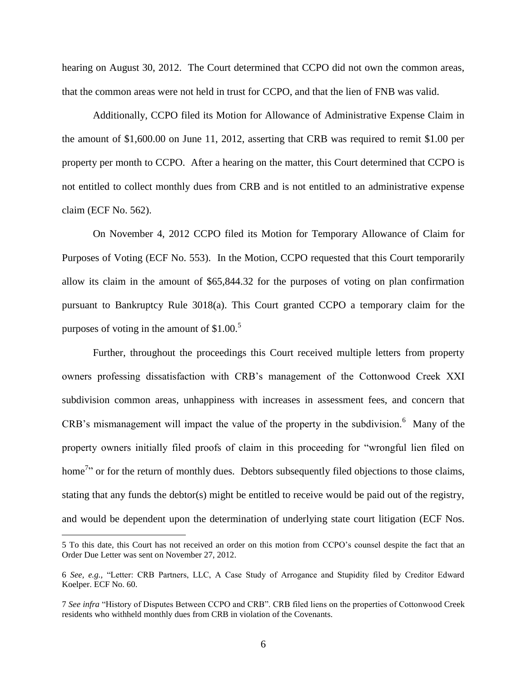hearing on August 30, 2012. The Court determined that CCPO did not own the common areas, that the common areas were not held in trust for CCPO, and that the lien of FNB was valid.

Additionally, CCPO filed its Motion for Allowance of Administrative Expense Claim in the amount of \$1,600.00 on June 11, 2012, asserting that CRB was required to remit \$1.00 per property per month to CCPO. After a hearing on the matter, this Court determined that CCPO is not entitled to collect monthly dues from CRB and is not entitled to an administrative expense claim (ECF No. 562).

On November 4, 2012 CCPO filed its Motion for Temporary Allowance of Claim for Purposes of Voting (ECF No. 553). In the Motion, CCPO requested that this Court temporarily allow its claim in the amount of \$65,844.32 for the purposes of voting on plan confirmation pursuant to Bankruptcy Rule 3018(a). This Court granted CCPO a temporary claim for the purposes of voting in the amount of  $$1.00<sup>5</sup>$ 

Further, throughout the proceedings this Court received multiple letters from property owners professing dissatisfaction with CRB's management of the Cottonwood Creek XXI subdivision common areas, unhappiness with increases in assessment fees, and concern that CRB's mismanagement will impact the value of the property in the subdivision.<sup>6</sup> Many of the property owners initially filed proofs of claim in this proceeding for "wrongful lien filed on home<sup>7</sup> or for the return of monthly dues. Debtors subsequently filed objections to those claims, stating that any funds the debtor(s) might be entitled to receive would be paid out of the registry, and would be dependent upon the determination of underlying state court litigation (ECF Nos.

<sup>5</sup> To this date, this Court has not received an order on this motion from CCPO's counsel despite the fact that an Order Due Letter was sent on November 27, 2012.

<sup>6</sup> *See, e.g.,* "Letter: CRB Partners, LLC, A Case Study of Arrogance and Stupidity filed by Creditor Edward Koelper. ECF No. 60.

<sup>7</sup> *See infra* "History of Disputes Between CCPO and CRB". CRB filed liens on the properties of Cottonwood Creek residents who withheld monthly dues from CRB in violation of the Covenants.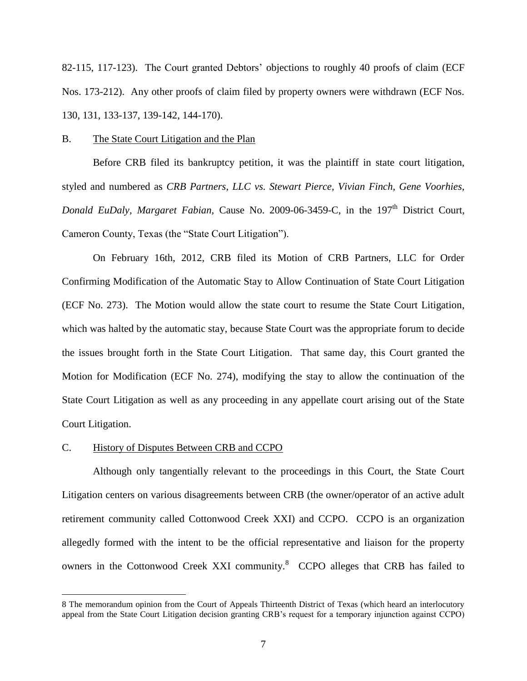82-115, 117-123). The Court granted Debtors' objections to roughly 40 proofs of claim (ECF Nos. 173-212). Any other proofs of claim filed by property owners were withdrawn (ECF Nos. 130, 131, 133-137, 139-142, 144-170).

### B. The State Court Litigation and the Plan

Before CRB filed its bankruptcy petition, it was the plaintiff in state court litigation, styled and numbered as *CRB Partners, LLC vs. Stewart Pierce, Vivian Finch, Gene Voorhies, Donald EuDaly, Margaret Fabian, Cause No. 2009-06-3459-C, in the 197<sup>th</sup> District Court,* Cameron County, Texas (the "State Court Litigation").

On February 16th, 2012, CRB filed its Motion of CRB Partners, LLC for Order Confirming Modification of the Automatic Stay to Allow Continuation of State Court Litigation (ECF No. 273). The Motion would allow the state court to resume the State Court Litigation, which was halted by the automatic stay, because State Court was the appropriate forum to decide the issues brought forth in the State Court Litigation. That same day, this Court granted the Motion for Modification (ECF No. 274), modifying the stay to allow the continuation of the State Court Litigation as well as any proceeding in any appellate court arising out of the State Court Litigation.

#### C. History of Disputes Between CRB and CCPO

 $\overline{a}$ 

Although only tangentially relevant to the proceedings in this Court, the State Court Litigation centers on various disagreements between CRB (the owner/operator of an active adult retirement community called Cottonwood Creek XXI) and CCPO. CCPO is an organization allegedly formed with the intent to be the official representative and liaison for the property owners in the Cottonwood Creek XXI community.<sup>8</sup> CCPO alleges that CRB has failed to

<sup>8</sup> The memorandum opinion from the Court of Appeals Thirteenth District of Texas (which heard an interlocutory appeal from the State Court Litigation decision granting CRB's request for a temporary injunction against CCPO)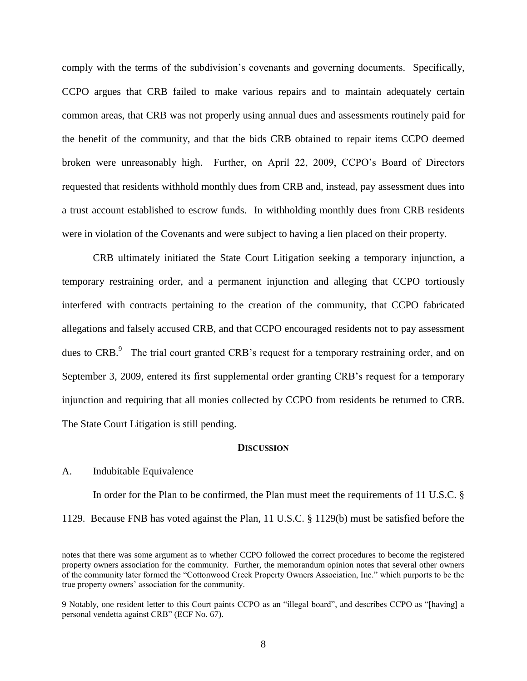comply with the terms of the subdivision's covenants and governing documents. Specifically, CCPO argues that CRB failed to make various repairs and to maintain adequately certain common areas, that CRB was not properly using annual dues and assessments routinely paid for the benefit of the community, and that the bids CRB obtained to repair items CCPO deemed broken were unreasonably high. Further, on April 22, 2009, CCPO's Board of Directors requested that residents withhold monthly dues from CRB and, instead, pay assessment dues into a trust account established to escrow funds. In withholding monthly dues from CRB residents were in violation of the Covenants and were subject to having a lien placed on their property.

CRB ultimately initiated the State Court Litigation seeking a temporary injunction, a temporary restraining order, and a permanent injunction and alleging that CCPO tortiously interfered with contracts pertaining to the creation of the community, that CCPO fabricated allegations and falsely accused CRB, and that CCPO encouraged residents not to pay assessment dues to CRB.<sup>9</sup> The trial court granted CRB's request for a temporary restraining order, and on September 3, 2009, entered its first supplemental order granting CRB's request for a temporary injunction and requiring that all monies collected by CCPO from residents be returned to CRB. The State Court Litigation is still pending.

## **DISCUSSION**

### A. Indubitable Equivalence

 $\overline{a}$ 

In order for the Plan to be confirmed, the Plan must meet the requirements of 11 U.S.C. § 1129. Because FNB has voted against the Plan, 11 U.S.C. § 1129(b) must be satisfied before the

notes that there was some argument as to whether CCPO followed the correct procedures to become the registered property owners association for the community. Further, the memorandum opinion notes that several other owners of the community later formed the "Cottonwood Creek Property Owners Association, Inc." which purports to be the true property owners' association for the community.

<sup>9</sup> Notably, one resident letter to this Court paints CCPO as an "illegal board", and describes CCPO as "[having] a personal vendetta against CRB" (ECF No. 67).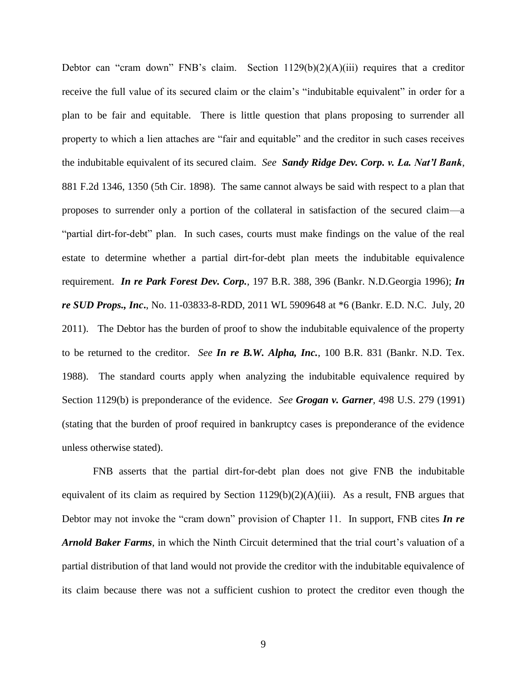Debtor can "cram down" FNB's claim. Section  $1129(b)(2)(A)(iii)$  requires that a creditor receive the full value of its secured claim or the claim's "indubitable equivalent" in order for a plan to be fair and equitable. There is little question that plans proposing to surrender all property to which a lien attaches are "fair and equitable" and the creditor in such cases receives the indubitable equivalent of its secured claim. *See Sandy Ridge Dev. Corp. v. La. Nat'l Bank*, 881 F.2d 1346, 1350 (5th Cir. 1898). The same cannot always be said with respect to a plan that proposes to surrender only a portion of the collateral in satisfaction of the secured claim—a "partial dirt-for-debt" plan. In such cases, courts must make findings on the value of the real estate to determine whether a partial dirt-for-debt plan meets the indubitable equivalence requirement. *In re Park Forest Dev. Corp.,* 197 B.R. 388, 396 (Bankr. N.D.Georgia 1996); *In re SUD Props., Inc***.**, No. 11-03833-8-RDD, 2011 WL 5909648 at \*6 (Bankr. E.D. N.C. July, 20 2011). The Debtor has the burden of proof to show the indubitable equivalence of the property to be returned to the creditor. *See In re B.W. Alpha, Inc.*, 100 B.R. 831 (Bankr. N.D. Tex. 1988).The standard courts apply when analyzing the indubitable equivalence required by Section 1129(b) is preponderance of the evidence. *See Grogan v. Garner,* 498 U.S. 279 (1991) (stating that the burden of proof required in bankruptcy cases is preponderance of the evidence unless otherwise stated).

FNB asserts that the partial dirt-for-debt plan does not give FNB the indubitable equivalent of its claim as required by Section  $1129(b)(2)(A)(iii)$ . As a result, FNB argues that Debtor may not invoke the "cram down" provision of Chapter 11. In support, FNB cites *In re Arnold Baker Farms*, in which the Ninth Circuit determined that the trial court's valuation of a partial distribution of that land would not provide the creditor with the indubitable equivalence of its claim because there was not a sufficient cushion to protect the creditor even though the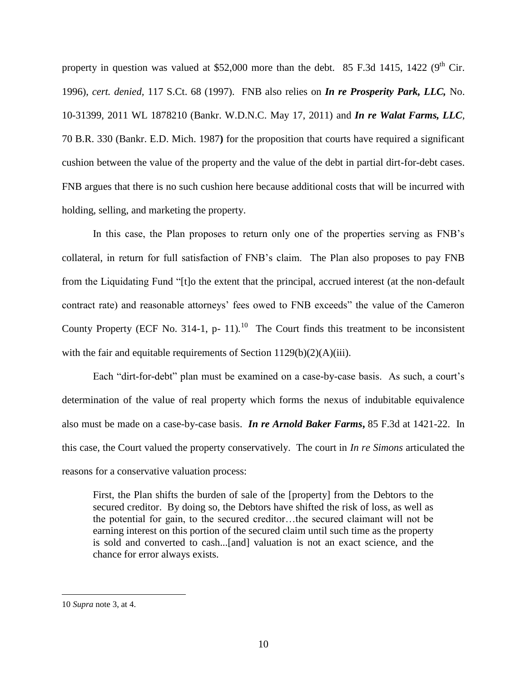property in question was valued at \$52,000 more than the debt. 85 F.3d 1415, 1422 ( $9<sup>th</sup>$  Cir. 1996), *cert. denied,* 117 S.Ct. 68 (1997). FNB also relies on *In re Prosperity Park, LLC,* No. 10-31399, 2011 WL 1878210 (Bankr. W.D.N.C. May 17, 2011) and *In re Walat Farms, LLC*, 70 B.R. 330 (Bankr. E.D. Mich. 1987**)** for the proposition that courts have required a significant cushion between the value of the property and the value of the debt in partial dirt-for-debt cases. FNB argues that there is no such cushion here because additional costs that will be incurred with holding, selling, and marketing the property.

In this case, the Plan proposes to return only one of the properties serving as FNB's collateral, in return for full satisfaction of FNB's claim. The Plan also proposes to pay FNB from the Liquidating Fund "[t]o the extent that the principal, accrued interest (at the non-default contract rate) and reasonable attorneys' fees owed to FNB exceeds" the value of the Cameron County Property (ECF No. 314-1, p- 11).<sup>10</sup> The Court finds this treatment to be inconsistent with the fair and equitable requirements of Section 1129(b)(2)(A)(iii).

Each "dirt-for-debt" plan must be examined on a case-by-case basis. As such, a court's determination of the value of real property which forms the nexus of indubitable equivalence also must be made on a case-by-case basis. *In re Arnold Baker Farms***,** 85 F.3d at 1421-22. In this case, the Court valued the property conservatively. The court in *In re Simons* articulated the reasons for a conservative valuation process:

First, the Plan shifts the burden of sale of the [property] from the Debtors to the secured creditor. By doing so, the Debtors have shifted the risk of loss, as well as the potential for gain, to the secured creditor…the secured claimant will not be earning interest on this portion of the secured claim until such time as the property is sold and converted to cash...[and] valuation is not an exact science, and the chance for error always exists.

<sup>10</sup> *Supra* note 3, at 4.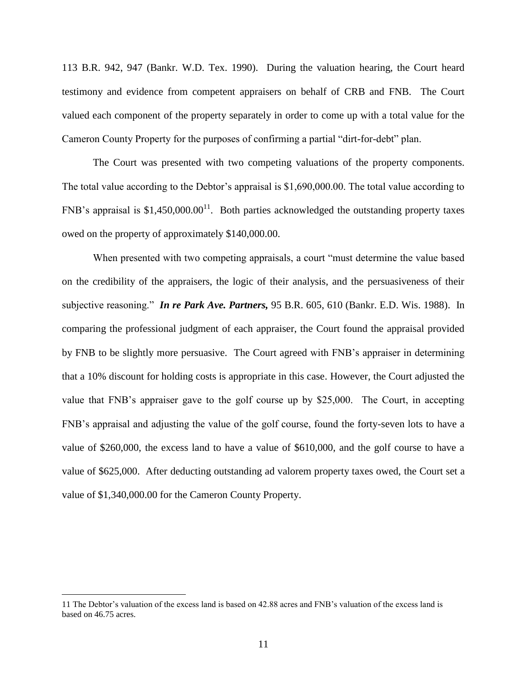113 B.R. 942, 947 (Bankr. W.D. Tex. 1990).During the valuation hearing, the Court heard testimony and evidence from competent appraisers on behalf of CRB and FNB. The Court valued each component of the property separately in order to come up with a total value for the Cameron County Property for the purposes of confirming a partial "dirt-for-debt" plan.

The Court was presented with two competing valuations of the property components. The total value according to the Debtor's appraisal is \$1,690,000.00. The total value according to FNB's appraisal is \$1,450,000.00<sup>11</sup>. Both parties acknowledged the outstanding property taxes owed on the property of approximately \$140,000.00.

When presented with two competing appraisals, a court "must determine the value based on the credibility of the appraisers, the logic of their analysis, and the persuasiveness of their subjective reasoning." *In re Park Ave. Partners,* 95 B.R. 605, 610 (Bankr. E.D. Wis. 1988). In comparing the professional judgment of each appraiser, the Court found the appraisal provided by FNB to be slightly more persuasive. The Court agreed with FNB's appraiser in determining that a 10% discount for holding costs is appropriate in this case. However, the Court adjusted the value that FNB's appraiser gave to the golf course up by \$25,000. The Court, in accepting FNB's appraisal and adjusting the value of the golf course, found the forty-seven lots to have a value of \$260,000, the excess land to have a value of \$610,000, and the golf course to have a value of \$625,000. After deducting outstanding ad valorem property taxes owed, the Court set a value of \$1,340,000.00 for the Cameron County Property.

<sup>11</sup> The Debtor's valuation of the excess land is based on 42.88 acres and FNB's valuation of the excess land is based on 46.75 acres.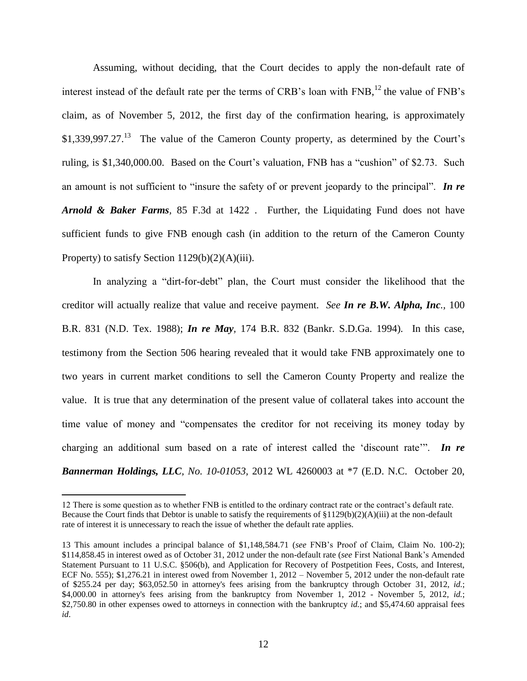Assuming, without deciding, that the Court decides to apply the non-default rate of interest instead of the default rate per the terms of CRB's loan with FNB,<sup>12</sup> the value of FNB's claim, as of November 5, 2012, the first day of the confirmation hearing, is approximately  $$1,339,997.27<sup>13</sup>$  The value of the Cameron County property, as determined by the Court's ruling, is \$1,340,000.00. Based on the Court's valuation, FNB has a "cushion" of \$2.73. Such an amount is not sufficient to "insure the safety of or prevent jeopardy to the principal". *In re Arnold & Baker Farms,* 85 F.3d at 1422 . Further, the Liquidating Fund does not have sufficient funds to give FNB enough cash (in addition to the return of the Cameron County Property) to satisfy Section  $1129(b)(2)(A)(iii)$ .

In analyzing a "dirt-for-debt" plan, the Court must consider the likelihood that the creditor will actually realize that value and receive payment. *See In re B.W. Alpha, Inc.,* 100 B.R. 831 (N.D. Tex. 1988); *In re May,* 174 B.R. 832 (Bankr. S.D.Ga. 1994)*.* In this case, testimony from the Section 506 hearing revealed that it would take FNB approximately one to two years in current market conditions to sell the Cameron County Property and realize the value. It is true that any determination of the present value of collateral takes into account the time value of money and "compensates the creditor for not receiving its money today by charging an additional sum based on a rate of interest called the 'discount rate'". *In re Bannerman Holdings, LLC, No. 10-01053,* 2012 WL 4260003 at \*7 (E.D. N.C. October 20,

<sup>12</sup> There is some question as to whether FNB is entitled to the ordinary contract rate or the contract's default rate. Because the Court finds that Debtor is unable to satisfy the requirements of  $\{129(b)(2)(A)(iii)$  at the non-default rate of interest it is unnecessary to reach the issue of whether the default rate applies.

<sup>13</sup> This amount includes a principal balance of \$1,148,584.71 (*see* FNB's Proof of Claim, Claim No. 100-2); \$114,858.45 in interest owed as of October 31, 2012 under the non-default rate (*see* First National Bank's Amended Statement Pursuant to 11 U.S.C. §506(b), and Application for Recovery of Postpetition Fees, Costs, and Interest, ECF No. 555); \$1,276.21 in interest owed from November 1, 2012 – November 5, 2012 under the non-default rate of \$255.24 per day; \$63,052.50 in attorney's fees arising from the bankruptcy through October 31, 2012, *id.*; \$4,000.00 in attorney's fees arising from the bankruptcy from November 1, 2012 - November 5, 2012, *id.*; \$2,750.80 in other expenses owed to attorneys in connection with the bankruptcy *id.*; and \$5,474.60 appraisal fees *id*.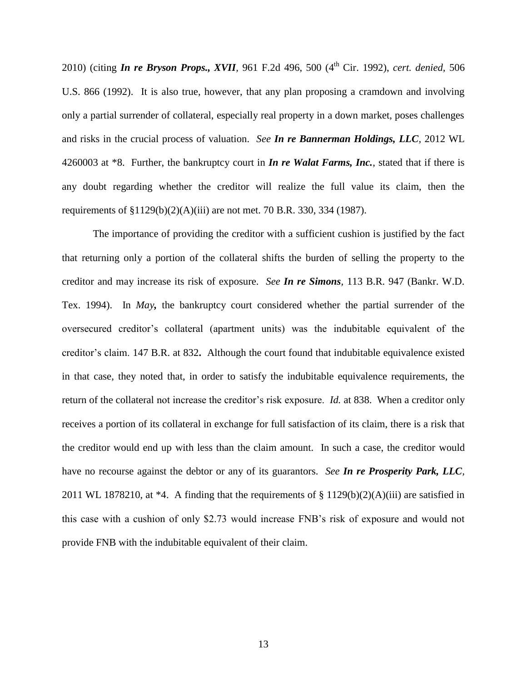2010) (citing *In re Bryson Props., XVII,* 961 F.2d 496, 500 (4th Cir. 1992), *cert. denied,* 506 U.S. 866 (1992). It is also true, however, that any plan proposing a cramdown and involving only a partial surrender of collateral, especially real property in a down market, poses challenges and risks in the crucial process of valuation. *See In re Bannerman Holdings, LLC,* 2012 WL 4260003 at \*8. Further, the bankruptcy court in *In re Walat Farms, Inc.*, stated that if there is any doubt regarding whether the creditor will realize the full value its claim, then the requirements of §1129(b)(2)(A)(iii) are not met. 70 B.R. 330, 334 (1987).

The importance of providing the creditor with a sufficient cushion is justified by the fact that returning only a portion of the collateral shifts the burden of selling the property to the creditor and may increase its risk of exposure. *See In re Simons,* 113 B.R. 947 (Bankr. W.D. Tex. 1994). In *May,* the bankruptcy court considered whether the partial surrender of the oversecured creditor's collateral (apartment units) was the indubitable equivalent of the creditor's claim. 147 B.R. at 832**.** Although the court found that indubitable equivalence existed in that case, they noted that, in order to satisfy the indubitable equivalence requirements, the return of the collateral not increase the creditor's risk exposure. *Id.* at 838. When a creditor only receives a portion of its collateral in exchange for full satisfaction of its claim, there is a risk that the creditor would end up with less than the claim amount. In such a case, the creditor would have no recourse against the debtor or any of its guarantors. *See In re Prosperity Park, LLC,* 2011 WL 1878210, at  $*4$ . A finding that the requirements of § 1129(b)(2)(A)(iii) are satisfied in this case with a cushion of only \$2.73 would increase FNB's risk of exposure and would not provide FNB with the indubitable equivalent of their claim.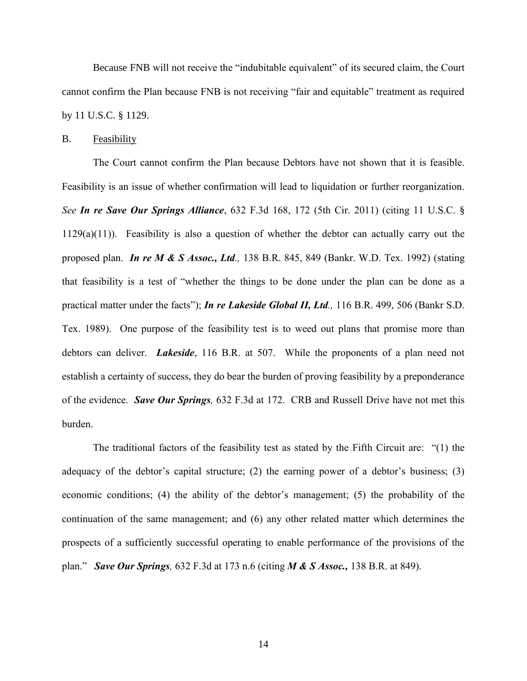Because FNB will not receive the "indubitable equivalent" of its secured claim, the Court cannot confirm the Plan because FNB is not receiving "fair and equitable" treatment as required by 11 U.S.C. § 1129.

## B. Feasibility

The Court cannot confirm the Plan because Debtors have not shown that it is feasible. Feasibility is an issue of whether confirmation will lead to liquidation or further reorganization. *See In re Save Our Springs Alliance*, 632 F.3d 168, 172 (5th Cir. 2011) (citing 11 U.S.C. §  $1129(a)(11)$ ). Feasibility is also a question of whether the debtor can actually carry out the proposed plan. *In re M & S Assoc., Ltd.,* 138 B.R. 845, 849 (Bankr. W.D. Tex. 1992) (stating that feasibility is a test of "whether the things to be done under the plan can be done as a practical matter under the facts"); *In re Lakeside Global II, Ltd.,* 116 B.R. 499, 506 (Bankr S.D. Tex. 1989). One purpose of the feasibility test is to weed out plans that promise more than debtors can deliver. *Lakeside*, 116 B.R. at 507. While the proponents of a plan need not establish a certainty of success, they do bear the burden of proving feasibility by a preponderance of the evidence. *Save Our Springs,* 632 F.3d at 172. CRB and Russell Drive have not met this burden.

The traditional factors of the feasibility test as stated by the Fifth Circuit are: "(1) the adequacy of the debtor's capital structure; (2) the earning power of a debtor's business; (3) economic conditions; (4) the ability of the debtor's management; (5) the probability of the continuation of the same management; and (6) any other related matter which determines the prospects of a sufficiently successful operating to enable performance of the provisions of the plan." *Save Our Springs,* 632 F.3d at 173 n.6 (citing *M & S Assoc.,* 138 B.R. at 849).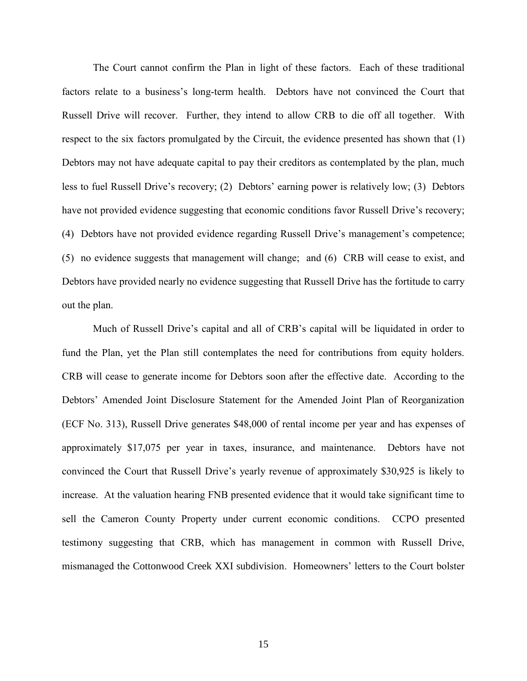The Court cannot confirm the Plan in light of these factors. Each of these traditional factors relate to a business's long-term health. Debtors have not convinced the Court that Russell Drive will recover. Further, they intend to allow CRB to die off all together. With respect to the six factors promulgated by the Circuit, the evidence presented has shown that (1) Debtors may not have adequate capital to pay their creditors as contemplated by the plan, much less to fuel Russell Drive's recovery; (2) Debtors' earning power is relatively low; (3) Debtors have not provided evidence suggesting that economic conditions favor Russell Drive's recovery; (4) Debtors have not provided evidence regarding Russell Drive's management's competence; (5) no evidence suggests that management will change; and (6) CRB will cease to exist, and Debtors have provided nearly no evidence suggesting that Russell Drive has the fortitude to carry out the plan.

Much of Russell Drive's capital and all of CRB's capital will be liquidated in order to fund the Plan, yet the Plan still contemplates the need for contributions from equity holders. CRB will cease to generate income for Debtors soon after the effective date. According to the Debtors' Amended Joint Disclosure Statement for the Amended Joint Plan of Reorganization (ECF No. 313), Russell Drive generates \$48,000 of rental income per year and has expenses of approximately \$17,075 per year in taxes, insurance, and maintenance. Debtors have not convinced the Court that Russell Drive's yearly revenue of approximately \$30,925 is likely to increase. At the valuation hearing FNB presented evidence that it would take significant time to sell the Cameron County Property under current economic conditions. CCPO presented testimony suggesting that CRB, which has management in common with Russell Drive, mismanaged the Cottonwood Creek XXI subdivision. Homeowners' letters to the Court bolster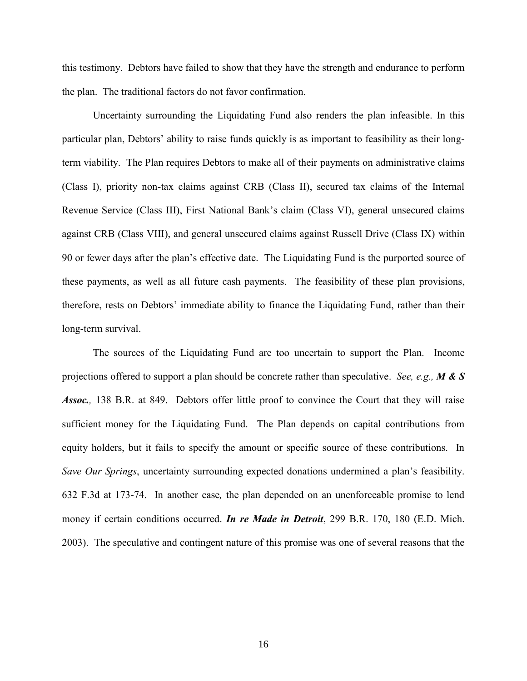this testimony. Debtors have failed to show that they have the strength and endurance to perform the plan. The traditional factors do not favor confirmation.

Uncertainty surrounding the Liquidating Fund also renders the plan infeasible. In this particular plan, Debtors' ability to raise funds quickly is as important to feasibility as their longterm viability. The Plan requires Debtors to make all of their payments on administrative claims (Class I), priority non-tax claims against CRB (Class II), secured tax claims of the Internal Revenue Service (Class III), First National Bank's claim (Class VI), general unsecured claims against CRB (Class VIII), and general unsecured claims against Russell Drive (Class IX) within 90 or fewer days after the plan's effective date. The Liquidating Fund is the purported source of these payments, as well as all future cash payments. The feasibility of these plan provisions, therefore, rests on Debtors' immediate ability to finance the Liquidating Fund, rather than their long-term survival.

The sources of the Liquidating Fund are too uncertain to support the Plan. Income projections offered to support a plan should be concrete rather than speculative. *See, e.g., M & S Assoc.,* 138 B.R. at 849. Debtors offer little proof to convince the Court that they will raise sufficient money for the Liquidating Fund. The Plan depends on capital contributions from equity holders, but it fails to specify the amount or specific source of these contributions. In *Save Our Springs*, uncertainty surrounding expected donations undermined a plan's feasibility. 632 F.3d at 173-74. In another case*,* the plan depended on an unenforceable promise to lend money if certain conditions occurred. *In re Made in Detroit*, 299 B.R. 170, 180 (E.D. Mich. 2003). The speculative and contingent nature of this promise was one of several reasons that the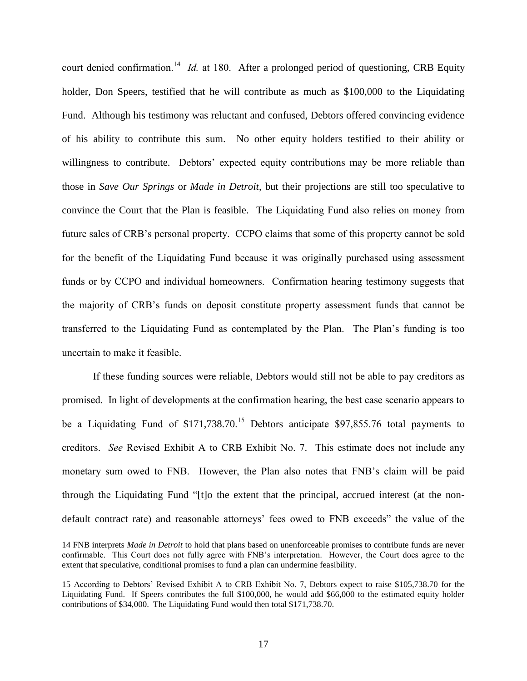court denied confirmation.<sup>14</sup> *Id.* at 180. After a prolonged period of questioning, CRB Equity holder, Don Speers, testified that he will contribute as much as \$100,000 to the Liquidating Fund. Although his testimony was reluctant and confused, Debtors offered convincing evidence of his ability to contribute this sum. No other equity holders testified to their ability or willingness to contribute. Debtors' expected equity contributions may be more reliable than those in *Save Our Springs* or *Made in Detroit*, but their projections are still too speculative to convince the Court that the Plan is feasible. The Liquidating Fund also relies on money from future sales of CRB's personal property. CCPO claims that some of this property cannot be sold for the benefit of the Liquidating Fund because it was originally purchased using assessment funds or by CCPO and individual homeowners. Confirmation hearing testimony suggests that the majority of CRB's funds on deposit constitute property assessment funds that cannot be transferred to the Liquidating Fund as contemplated by the Plan. The Plan's funding is too uncertain to make it feasible.

If these funding sources were reliable, Debtors would still not be able to pay creditors as promised. In light of developments at the confirmation hearing, the best case scenario appears to be a Liquidating Fund of  $$171,738.70$ .<sup>15</sup> Debtors anticipate \$97,855.76 total payments to creditors. *See* Revised Exhibit A to CRB Exhibit No. 7. This estimate does not include any monetary sum owed to FNB. However, the Plan also notes that FNB's claim will be paid through the Liquidating Fund "[t]o the extent that the principal, accrued interest (at the nondefault contract rate) and reasonable attorneys' fees owed to FNB exceeds" the value of the

<sup>14</sup> FNB interprets *Made in Detroit* to hold that plans based on unenforceable promises to contribute funds are never confirmable. This Court does not fully agree with FNB's interpretation. However, the Court does agree to the extent that speculative, conditional promises to fund a plan can undermine feasibility.

<sup>15</sup> According to Debtors' Revised Exhibit A to CRB Exhibit No. 7, Debtors expect to raise \$105,738.70 for the Liquidating Fund. If Speers contributes the full \$100,000, he would add \$66,000 to the estimated equity holder contributions of \$34,000. The Liquidating Fund would then total \$171,738.70.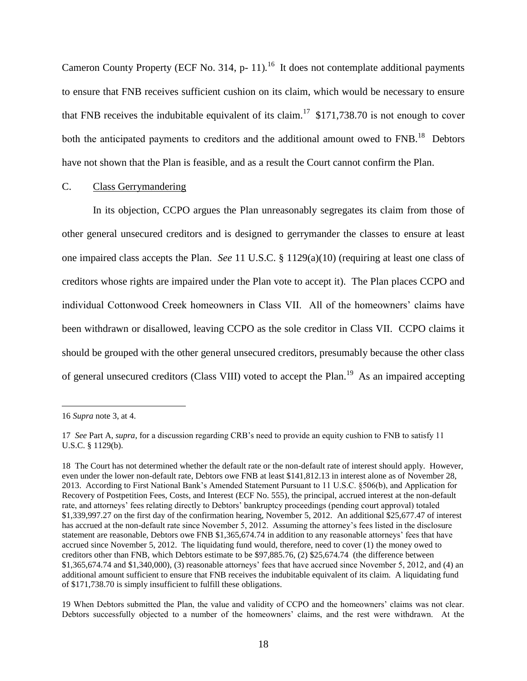Cameron County Property (ECF No. 314, p- 11).<sup>16</sup> It does not contemplate additional payments to ensure that FNB receives sufficient cushion on its claim, which would be necessary to ensure that FNB receives the indubitable equivalent of its claim.<sup>17</sup> \$171,738.70 is not enough to cover both the anticipated payments to creditors and the additional amount owed to  $FNB$ .<sup>18</sup> Debtors have not shown that the Plan is feasible, and as a result the Court cannot confirm the Plan.

## C. Class Gerrymandering

In its objection, CCPO argues the Plan unreasonably segregates its claim from those of other general unsecured creditors and is designed to gerrymander the classes to ensure at least one impaired class accepts the Plan. *See* 11 U.S.C. § 1129(a)(10) (requiring at least one class of creditors whose rights are impaired under the Plan vote to accept it). The Plan places CCPO and individual Cottonwood Creek homeowners in Class VII. All of the homeowners' claims have been withdrawn or disallowed, leaving CCPO as the sole creditor in Class VII. CCPO claims it should be grouped with the other general unsecured creditors, presumably because the other class of general unsecured creditors (Class VIII) voted to accept the Plan.<sup>19</sup> As an impaired accepting

<sup>16</sup> *Supra* note 3, at 4.

<sup>17</sup> *See* Part A, *supra*, for a discussion regarding CRB's need to provide an equity cushion to FNB to satisfy 11 U.S.C. § 1129(b).

<sup>18</sup> The Court has not determined whether the default rate or the non-default rate of interest should apply. However, even under the lower non-default rate, Debtors owe FNB at least \$141,812.13 in interest alone as of November 28, 2013. According to First National Bank's Amended Statement Pursuant to 11 U.S.C. §506(b), and Application for Recovery of Postpetition Fees, Costs, and Interest (ECF No. 555), the principal, accrued interest at the non-default rate, and attorneys' fees relating directly to Debtors' bankruptcy proceedings (pending court approval) totaled \$1,339,997.27 on the first day of the confirmation hearing, November 5, 2012. An additional \$25,677.47 of interest has accrued at the non-default rate since November 5, 2012. Assuming the attorney's fees listed in the disclosure statement are reasonable, Debtors owe FNB \$1,365,674.74 in addition to any reasonable attorneys' fees that have accrued since November 5, 2012. The liquidating fund would, therefore, need to cover (1) the money owed to creditors other than FNB, which Debtors estimate to be \$97,885.76, (2) \$25,674.74 (the difference between \$1,365,674.74 and \$1,340,000), (3) reasonable attorneys' fees that have accrued since November 5, 2012, and (4) an additional amount sufficient to ensure that FNB receives the indubitable equivalent of its claim. A liquidating fund of \$171,738.70 is simply insufficient to fulfill these obligations.

<sup>19</sup> When Debtors submitted the Plan, the value and validity of CCPO and the homeowners' claims was not clear. Debtors successfully objected to a number of the homeowners' claims, and the rest were withdrawn. At the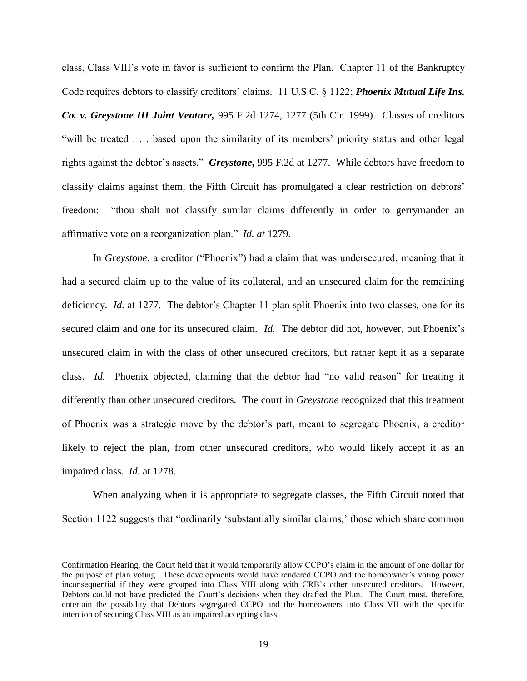class, Class VIII's vote in favor is sufficient to confirm the Plan. Chapter 11 of the Bankruptcy Code requires debtors to classify creditors' claims. 11 U.S.C. § 1122; *Phoenix Mutual Life Ins. Co. v. Greystone III Joint Venture,* 995 F.2d 1274, 1277 (5th Cir. 1999). Classes of creditors "will be treated . . . based upon the similarity of its members' priority status and other legal rights against the debtor's assets." *Greystone***,** 995 F.2d at 1277. While debtors have freedom to classify claims against them, the Fifth Circuit has promulgated a clear restriction on debtors' freedom: "thou shalt not classify similar claims differently in order to gerrymander an affirmative vote on a reorganization plan." *Id. at* 1279.

In *Greystone*, a creditor ("Phoenix") had a claim that was undersecured, meaning that it had a secured claim up to the value of its collateral, and an unsecured claim for the remaining deficiency. *Id.* at 1277. The debtor's Chapter 11 plan split Phoenix into two classes, one for its secured claim and one for its unsecured claim. *Id.* The debtor did not, however, put Phoenix's unsecured claim in with the class of other unsecured creditors, but rather kept it as a separate class. *Id.* Phoenix objected, claiming that the debtor had "no valid reason" for treating it differently than other unsecured creditors. The court in *Greystone* recognized that this treatment of Phoenix was a strategic move by the debtor's part, meant to segregate Phoenix, a creditor likely to reject the plan, from other unsecured creditors, who would likely accept it as an impaired class. *Id.* at 1278.

When analyzing when it is appropriate to segregate classes, the Fifth Circuit noted that Section 1122 suggests that "ordinarily 'substantially similar claims,' those which share common

Confirmation Hearing, the Court held that it would temporarily allow CCPO's claim in the amount of one dollar for the purpose of plan voting. These developments would have rendered CCPO and the homeowner's voting power inconsequential if they were grouped into Class VIII along with CRB's other unsecured creditors. However, Debtors could not have predicted the Court's decisions when they drafted the Plan. The Court must, therefore, entertain the possibility that Debtors segregated CCPO and the homeowners into Class VII with the specific intention of securing Class VIII as an impaired accepting class.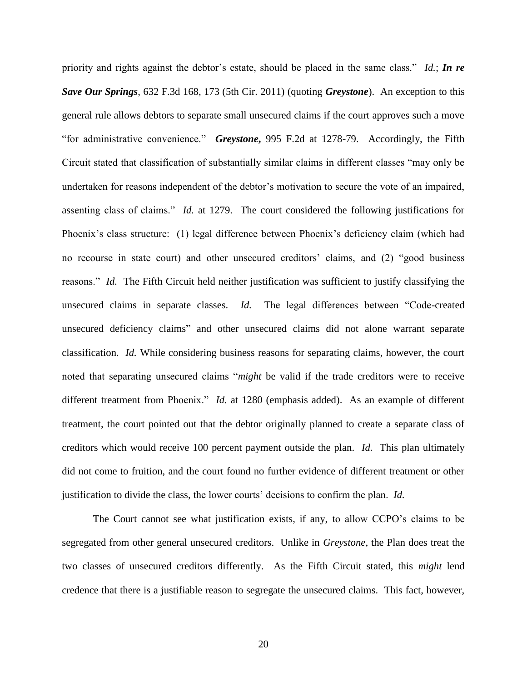priority and rights against the debtor's estate, should be placed in the same class." *Id.*; *In re Save Our Springs*, 632 F.3d 168, 173 (5th Cir. 2011) (quoting *Greystone*).An exception to this general rule allows debtors to separate small unsecured claims if the court approves such a move "for administrative convenience." *Greystone***,** 995 F.2d at 1278-79. Accordingly, the Fifth Circuit stated that classification of substantially similar claims in different classes "may only be undertaken for reasons independent of the debtor's motivation to secure the vote of an impaired, assenting class of claims." *Id.* at 1279. The court considered the following justifications for Phoenix's class structure: (1) legal difference between Phoenix's deficiency claim (which had no recourse in state court) and other unsecured creditors' claims, and (2) "good business reasons." *Id.* The Fifth Circuit held neither justification was sufficient to justify classifying the unsecured claims in separate classes. *Id.* The legal differences between "Code-created unsecured deficiency claims" and other unsecured claims did not alone warrant separate classification. *Id.* While considering business reasons for separating claims, however, the court noted that separating unsecured claims "*might* be valid if the trade creditors were to receive different treatment from Phoenix." *Id.* at 1280 (emphasis added). As an example of different treatment, the court pointed out that the debtor originally planned to create a separate class of creditors which would receive 100 percent payment outside the plan. *Id.* This plan ultimately did not come to fruition, and the court found no further evidence of different treatment or other justification to divide the class, the lower courts' decisions to confirm the plan. *Id.*

The Court cannot see what justification exists, if any, to allow CCPO's claims to be segregated from other general unsecured creditors. Unlike in *Greystone*, the Plan does treat the two classes of unsecured creditors differently. As the Fifth Circuit stated, this *might* lend credence that there is a justifiable reason to segregate the unsecured claims. This fact, however,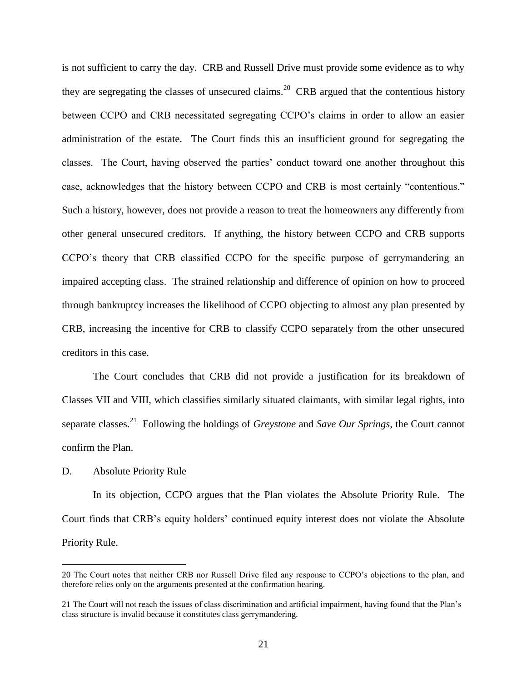is not sufficient to carry the day. CRB and Russell Drive must provide some evidence as to why they are segregating the classes of unsecured claims.<sup>20</sup> CRB argued that the contentious history between CCPO and CRB necessitated segregating CCPO's claims in order to allow an easier administration of the estate. The Court finds this an insufficient ground for segregating the classes. The Court, having observed the parties' conduct toward one another throughout this case, acknowledges that the history between CCPO and CRB is most certainly "contentious." Such a history, however, does not provide a reason to treat the homeowners any differently from other general unsecured creditors. If anything, the history between CCPO and CRB supports CCPO's theory that CRB classified CCPO for the specific purpose of gerrymandering an impaired accepting class. The strained relationship and difference of opinion on how to proceed through bankruptcy increases the likelihood of CCPO objecting to almost any plan presented by CRB, increasing the incentive for CRB to classify CCPO separately from the other unsecured creditors in this case.

The Court concludes that CRB did not provide a justification for its breakdown of Classes VII and VIII, which classifies similarly situated claimants, with similar legal rights, into separate classes.<sup>21</sup> Following the holdings of *Greystone* and *Save Our Springs*, the Court cannot confirm the Plan.

## D. Absolute Priority Rule

 $\overline{a}$ 

In its objection, CCPO argues that the Plan violates the Absolute Priority Rule. The Court finds that CRB's equity holders' continued equity interest does not violate the Absolute Priority Rule.

<sup>20</sup> The Court notes that neither CRB nor Russell Drive filed any response to CCPO's objections to the plan, and therefore relies only on the arguments presented at the confirmation hearing.

<sup>21</sup> The Court will not reach the issues of class discrimination and artificial impairment, having found that the Plan's class structure is invalid because it constitutes class gerrymandering.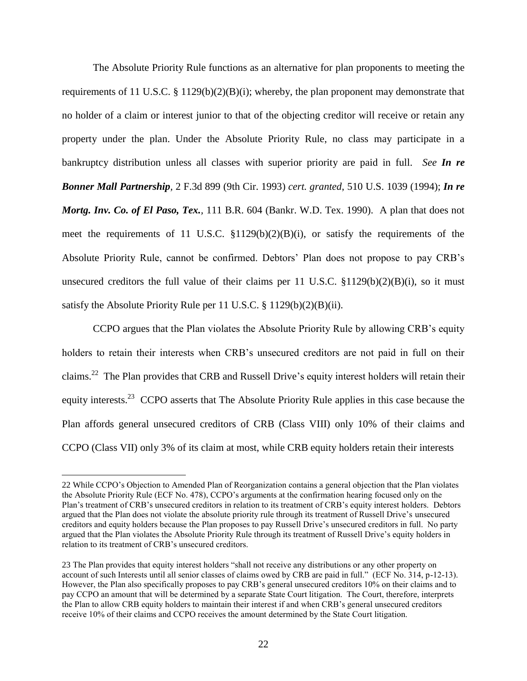The Absolute Priority Rule functions as an alternative for plan proponents to meeting the requirements of 11 U.S.C. § 1129(b)(2)(B)(i); whereby, the plan proponent may demonstrate that no holder of a claim or interest junior to that of the objecting creditor will receive or retain any property under the plan. Under the Absolute Priority Rule, no class may participate in a bankruptcy distribution unless all classes with superior priority are paid in full. *See In re Bonner Mall Partnership,* 2 F.3d 899 (9th Cir. 1993) *cert. granted*, 510 U.S. 1039 (1994); *In re Mortg. Inv. Co. of El Paso, Tex.,* 111 B.R. 604 (Bankr. W.D. Tex. 1990). A plan that does not meet the requirements of 11 U.S.C. §1129(b)(2)(B)(i), or satisfy the requirements of the Absolute Priority Rule, cannot be confirmed. Debtors' Plan does not propose to pay CRB's unsecured creditors the full value of their claims per 11 U.S.C.  $$1129(b)(2)(B)(i)$ , so it must satisfy the Absolute Priority Rule per 11 U.S.C. § 1129(b)(2)(B)(ii).

CCPO argues that the Plan violates the Absolute Priority Rule by allowing CRB's equity holders to retain their interests when CRB's unsecured creditors are not paid in full on their claims.<sup>22</sup> The Plan provides that CRB and Russell Drive's equity interest holders will retain their equity interests.<sup>23</sup> CCPO asserts that The Absolute Priority Rule applies in this case because the Plan affords general unsecured creditors of CRB (Class VIII) only 10% of their claims and CCPO (Class VII) only 3% of its claim at most, while CRB equity holders retain their interests

<sup>22</sup> While CCPO's Objection to Amended Plan of Reorganization contains a general objection that the Plan violates the Absolute Priority Rule (ECF No. 478), CCPO's arguments at the confirmation hearing focused only on the Plan's treatment of CRB's unsecured creditors in relation to its treatment of CRB's equity interest holders. Debtors argued that the Plan does not violate the absolute priority rule through its treatment of Russell Drive's unsecured creditors and equity holders because the Plan proposes to pay Russell Drive's unsecured creditors in full. No party argued that the Plan violates the Absolute Priority Rule through its treatment of Russell Drive's equity holders in relation to its treatment of CRB's unsecured creditors.

<sup>23</sup> The Plan provides that equity interest holders "shall not receive any distributions or any other property on account of such Interests until all senior classes of claims owed by CRB are paid in full." (ECF No. 314, p-12-13). However, the Plan also specifically proposes to pay CRB's general unsecured creditors 10% on their claims and to pay CCPO an amount that will be determined by a separate State Court litigation. The Court, therefore, interprets the Plan to allow CRB equity holders to maintain their interest if and when CRB's general unsecured creditors receive 10% of their claims and CCPO receives the amount determined by the State Court litigation.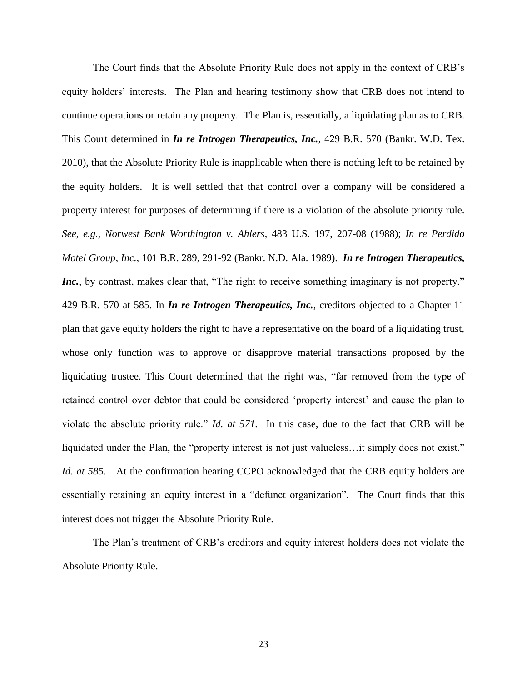The Court finds that the Absolute Priority Rule does not apply in the context of CRB's equity holders' interests. The Plan and hearing testimony show that CRB does not intend to continue operations or retain any property. The Plan is, essentially, a liquidating plan as to CRB. This Court determined in *In re Introgen Therapeutics, Inc.,* 429 B.R. 570 (Bankr. W.D. Tex. 2010), that the Absolute Priority Rule is inapplicable when there is nothing left to be retained by the equity holders. It is well settled that that control over a company will be considered a property interest for purposes of determining if there is a violation of the absolute priority rule. *See, e.g., Norwest Bank Worthington v. Ahlers*, 483 U.S. 197, 207-08 (1988); *In re Perdido Motel Group, Inc.*, 101 B.R. 289, 291-92 (Bankr. N.D. Ala. 1989). *In re Introgen Therapeutics, Inc.*, by contrast, makes clear that, "The right to receive something imaginary is not property." 429 B.R. 570 at 585. In *In re Introgen Therapeutics, Inc.*, creditors objected to a Chapter 11 plan that gave equity holders the right to have a representative on the board of a liquidating trust, whose only function was to approve or disapprove material transactions proposed by the liquidating trustee. This Court determined that the right was, "far removed from the type of retained control over debtor that could be considered 'property interest' and cause the plan to violate the absolute priority rule." *Id. at 571*. In this case, due to the fact that CRB will be liquidated under the Plan, the "property interest is not just valueless…it simply does not exist." *Id. at 585*. At the confirmation hearing CCPO acknowledged that the CRB equity holders are essentially retaining an equity interest in a "defunct organization". The Court finds that this interest does not trigger the Absolute Priority Rule.

The Plan's treatment of CRB's creditors and equity interest holders does not violate the Absolute Priority Rule.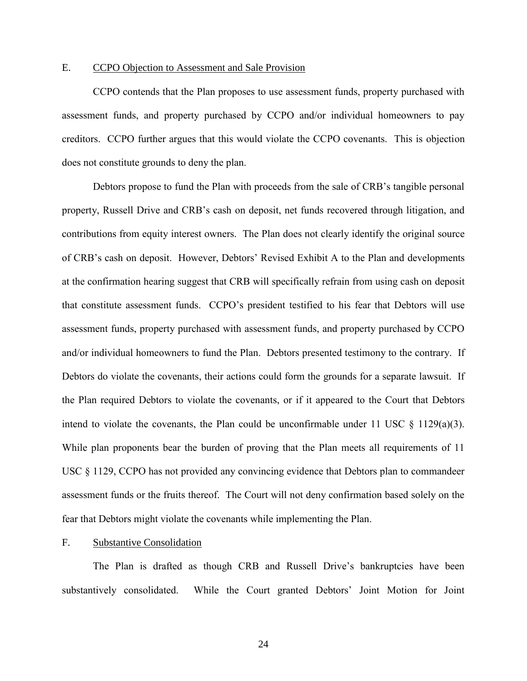## E. CCPO Objection to Assessment and Sale Provision

CCPO contends that the Plan proposes to use assessment funds, property purchased with assessment funds, and property purchased by CCPO and/or individual homeowners to pay creditors. CCPO further argues that this would violate the CCPO covenants. This is objection does not constitute grounds to deny the plan.

Debtors propose to fund the Plan with proceeds from the sale of CRB's tangible personal property, Russell Drive and CRB's cash on deposit, net funds recovered through litigation, and contributions from equity interest owners. The Plan does not clearly identify the original source of CRB's cash on deposit. However, Debtors' Revised Exhibit A to the Plan and developments at the confirmation hearing suggest that CRB will specifically refrain from using cash on deposit that constitute assessment funds. CCPO's president testified to his fear that Debtors will use assessment funds, property purchased with assessment funds, and property purchased by CCPO and/or individual homeowners to fund the Plan. Debtors presented testimony to the contrary. If Debtors do violate the covenants, their actions could form the grounds for a separate lawsuit. If the Plan required Debtors to violate the covenants, or if it appeared to the Court that Debtors intend to violate the covenants, the Plan could be unconfirmable under 11 USC  $\S$  1129(a)(3). While plan proponents bear the burden of proving that the Plan meets all requirements of 11 USC § 1129, CCPO has not provided any convincing evidence that Debtors plan to commandeer assessment funds or the fruits thereof. The Court will not deny confirmation based solely on the fear that Debtors might violate the covenants while implementing the Plan.

## F. Substantive Consolidation

The Plan is drafted as though CRB and Russell Drive's bankruptcies have been substantively consolidated. While the Court granted Debtors' Joint Motion for Joint

24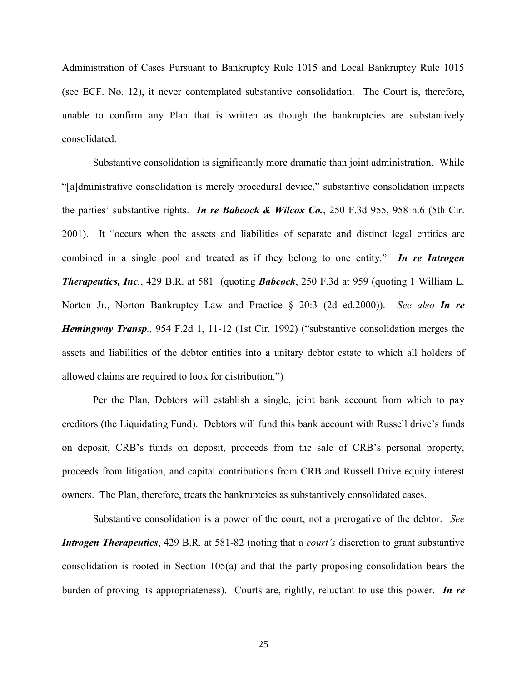Administration of Cases Pursuant to Bankruptcy Rule 1015 and Local Bankruptcy Rule 1015 (see ECF. No. 12), it never contemplated substantive consolidation. The Court is, therefore, unable to confirm any Plan that is written as though the bankruptcies are substantively consolidated.

Substantive consolidation is significantly more dramatic than joint administration. While "[a]dministrative consolidation is merely procedural device," substantive consolidation impacts the parties' substantive rights. *In re Babcock & Wilcox Co.*, 250 F.3d 955, 958 n.6 (5th Cir. 2001). It "occurs when the assets and liabilities of separate and distinct legal entities are combined in a single pool and treated as if they belong to one entity." *In re Introgen Therapeutics, Inc.*, 429 B.R. at 581 (quoting *Babcock*, 250 F.3d at 959 (quoting 1 William L. Norton Jr., Norton Bankruptcy Law and Practice § 20:3 (2d ed.2000)).*See also In re Hemingway Transp.,* 954 F.2d 1, 11-12 (1st Cir. 1992) ("substantive consolidation merges the assets and liabilities of the debtor entities into a unitary debtor estate to which all holders of allowed claims are required to look for distribution.")

Per the Plan, Debtors will establish a single, joint bank account from which to pay creditors (the Liquidating Fund). Debtors will fund this bank account with Russell drive's funds on deposit, CRB's funds on deposit, proceeds from the sale of CRB's personal property, proceeds from litigation, and capital contributions from CRB and Russell Drive equity interest owners. The Plan, therefore, treats the bankruptcies as substantively consolidated cases.

Substantive consolidation is a power of the court, not a prerogative of the debtor. *See Introgen Therapeutics*, 429 B.R. at 581-82 (noting that a *court's* discretion to grant substantive consolidation is rooted in Section 105(a) and that the party proposing consolidation bears the burden of proving its appropriateness). Courts are, rightly, reluctant to use this power. *In re*